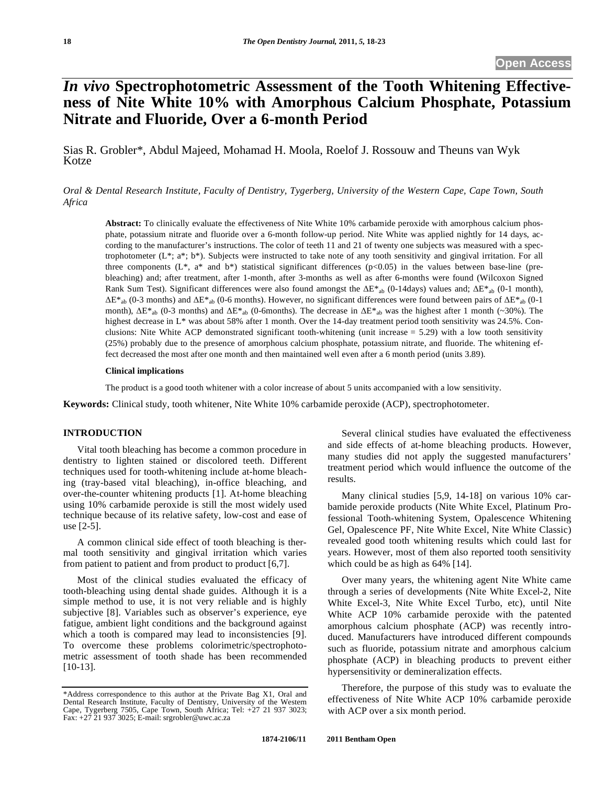# *In vivo* **Spectrophotometric Assessment of the Tooth Whitening Effectiveness of Nite White 10% with Amorphous Calcium Phosphate, Potassium Nitrate and Fluoride, Over a 6-month Period**

Sias R. Grobler\*, Abdul Majeed, Mohamad H. Moola, Roelof J. Rossouw and Theuns van Wyk Kotze

*Oral & Dental Research Institute, Faculty of Dentistry, Tygerberg, University of the Western Cape, Cape Town, South Africa* 

**Abstract:** To clinically evaluate the effectiveness of Nite White 10% carbamide peroxide with amorphous calcium phosphate, potassium nitrate and fluoride over a 6-month follow-up period. Nite White was applied nightly for 14 days, according to the manufacturer's instructions. The color of teeth 11 and 21 of twenty one subjects was measured with a spectrophotometer (L\*; a\*; b\*). Subjects were instructed to take note of any tooth sensitivity and gingival irritation. For all three components  $(L^*, a^*$  and  $b^*)$  statistical significant differences (p<0.05) in the values between base-line (prebleaching) and; after treatment, after 1-month, after 3-months as well as after 6-months were found (Wilcoxon Signed Rank Sum Test). Significant differences were also found amongst the  $\Delta E^*$ <sub>ab</sub> (0-14days) values and;  $\Delta E^*$ <sub>ab</sub> (0-1 month),  $\Delta E^*$ <sub>ab</sub> (0-3 months) and  $\Delta E^*$ <sub>ab</sub> (0-6 months). However, no significant differences were found between pairs of  $\Delta E^*$ <sub>ab</sub> (0-1 month),  $\Delta E^*$ <sub>ab</sub> (0-3 months) and  $\Delta E^*$ <sub>ab</sub> (0-6months). The decrease in  $\Delta E^*$ <sub>ab</sub> was the highest after 1 month (~30%). The highest decrease in L<sup>\*</sup> was about 58% after 1 month. Over the 14-day treatment period tooth sensitivity was 24.5%. Conclusions: Nite White ACP demonstrated significant tooth-whitening (unit increase  $= 5.29$ ) with a low tooth sensitivity (25%) probably due to the presence of amorphous calcium phosphate, potassium nitrate, and fluoride. The whitening effect decreased the most after one month and then maintained well even after a 6 month period (units 3.89).

#### **Clinical implications**

The product is a good tooth whitener with a color increase of about 5 units accompanied with a low sensitivity.

**Keywords:** Clinical study, tooth whitener, Nite White 10% carbamide peroxide (ACP), spectrophotometer.

## **INTRODUCTION**

Vital tooth bleaching has become a common procedure in dentistry to lighten stained or discolored teeth. Different techniques used for tooth-whitening include at-home bleaching (tray-based vital bleaching), in-office bleaching, and over-the-counter whitening products [1]. At-home bleaching using 10% carbamide peroxide is still the most widely used technique because of its relative safety, low-cost and ease of use [2-5].

A common clinical side effect of tooth bleaching is thermal tooth sensitivity and gingival irritation which varies from patient to patient and from product to product [6,7].

Most of the clinical studies evaluated the efficacy of tooth-bleaching using dental shade guides. Although it is a simple method to use, it is not very reliable and is highly subjective [8]. Variables such as observer's experience, eye fatigue, ambient light conditions and the background against which a tooth is compared may lead to inconsistencies [9]. To overcome these problems colorimetric/spectrophotometric assessment of tooth shade has been recommended [10-13].

Several clinical studies have evaluated the effectiveness and side effects of at-home bleaching products. However, many studies did not apply the suggested manufacturers' treatment period which would influence the outcome of the results.

Many clinical studies [5,9, 14-18] on various 10% carbamide peroxide products (Nite White Excel, Platinum Professional Tooth-whitening System, Opalescence Whitening Gel, Opalescence PF, Nite White Excel, Nite White Classic) revealed good tooth whitening results which could last for years. However, most of them also reported tooth sensitivity which could be as high as 64% [14].

Over many years, the whitening agent Nite White came through a series of developments (Nite White Excel-2, Nite White Excel-3, Nite White Excel Turbo, etc), until Nite White ACP 10% carbamide peroxide with the patented amorphous calcium phosphate (ACP) was recently introduced. Manufacturers have introduced different compounds such as fluoride, potassium nitrate and amorphous calcium phosphate (ACP) in bleaching products to prevent either hypersensitivity or demineralization effects.

Therefore, the purpose of this study was to evaluate the effectiveness of Nite White ACP 10% carbamide peroxide with ACP over a six month period.

<sup>\*</sup>Address correspondence to this author at the Private Bag X1, Oral and Dental Research Institute, Faculty of Dentistry, University of the Western Cape, Tygerberg 7505, Cape Town, South Africa; Tel: +27 21 937 3023; Fax: +27 21 937 3025; E-mail: srgrobler@uwc.ac.za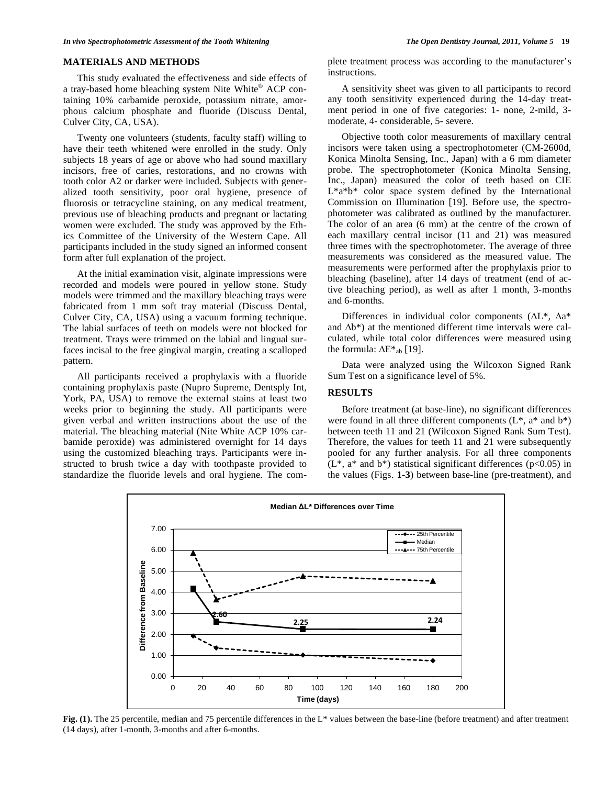## **MATERIALS AND METHODS**

This study evaluated the effectiveness and side effects of a tray-based home bleaching system Nite White® ACP containing 10% carbamide peroxide, potassium nitrate, amorphous calcium phosphate and fluoride (Discuss Dental, Culver City, CA, USA).

Twenty one volunteers (students, faculty staff) willing to have their teeth whitened were enrolled in the study. Only subjects 18 years of age or above who had sound maxillary incisors, free of caries, restorations, and no crowns with tooth color A2 or darker were included. Subjects with generalized tooth sensitivity, poor oral hygiene, presence of fluorosis or tetracycline staining, on any medical treatment, previous use of bleaching products and pregnant or lactating women were excluded. The study was approved by the Ethics Committee of the University of the Western Cape. All participants included in the study signed an informed consent form after full explanation of the project.

At the initial examination visit, alginate impressions were recorded and models were poured in yellow stone. Study models were trimmed and the maxillary bleaching trays were fabricated from 1 mm soft tray material (Discuss Dental, Culver City, CA, USA) using a vacuum forming technique. The labial surfaces of teeth on models were not blocked for treatment. Trays were trimmed on the labial and lingual surfaces incisal to the free gingival margin, creating a scalloped pattern.

All participants received a prophylaxis with a fluoride containing prophylaxis paste (Nupro Supreme, Dentsply Int, York, PA, USA) to remove the external stains at least two weeks prior to beginning the study. All participants were given verbal and written instructions about the use of the material. The bleaching material (Nite White ACP 10% carbamide peroxide) was administered overnight for 14 days using the customized bleaching trays. Participants were instructed to brush twice a day with toothpaste provided to standardize the fluoride levels and oral hygiene. The complete treatment process was according to the manufacturer's instructions.

A sensitivity sheet was given to all participants to record any tooth sensitivity experienced during the 14-day treatment period in one of five categories: 1- none, 2-mild, 3 moderate, 4- considerable, 5- severe.

Objective tooth color measurements of maxillary central incisors were taken using a spectrophotometer (CM-2600d, Konica Minolta Sensing, Inc., Japan) with a 6 mm diameter probe. The spectrophotometer (Konica Minolta Sensing, Inc., Japan) measured the color of teeth based on CIE L\*a\*b\* color space system defined by the International Commission on Illumination [19]. Before use, the spectrophotometer was calibrated as outlined by the manufacturer. The color of an area (6 mm) at the centre of the crown of each maxillary central incisor (11 and 21) was measured three times with the spectrophotometer. The average of three measurements was considered as the measured value. The measurements were performed after the prophylaxis prior to bleaching (baseline), after 14 days of treatment (end of active bleaching period), as well as after 1 month, 3-months and 6-months.

Differences in individual color components ( $\Delta L^*$ ,  $\Delta a^*$ and  $\Delta b^*$ ) at the mentioned different time intervals were calculated, while total color differences were measured using the formula:  $\Delta E^*$ <sub>ab</sub> [19].

Data were analyzed using the Wilcoxon Signed Rank Sum Test on a significance level of 5%.

# **RESULTS**

Before treatment (at base-line), no significant differences were found in all three different components  $(L^*, a^*$  and  $b^*)$ between teeth 11 and 21 (Wilcoxon Signed Rank Sum Test). Therefore, the values for teeth 11 and 21 were subsequently pooled for any further analysis. For all three components  $(L^*, a^*$  and  $b^*)$  statistical significant differences (p<0.05) in the values (Figs. **1-3**) between base-line (pre-treatment), and



**Fig. (1).** The 25 percentile, median and 75 percentile differences in the L\* values between the base-line (before treatment) and after treatment (14 days), after 1-month, 3-months and after 6-months.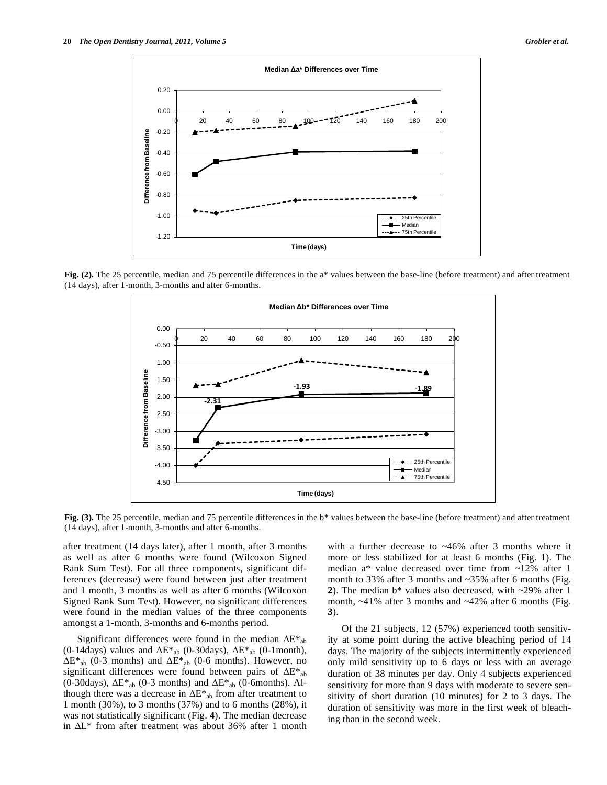

**Fig. (2).** The 25 percentile, median and 75 percentile differences in the a\* values between the base-line (before treatment) and after treatment (14 days), after 1-month, 3-months and after 6-months.



**Fig. (3).** The 25 percentile, median and 75 percentile differences in the b\* values between the base-line (before treatment) and after treatment (14 days), after 1-month, 3-months and after 6-months.

after treatment (14 days later), after 1 month, after 3 months as well as after 6 months were found (Wilcoxon Signed Rank Sum Test). For all three components, significant differences (decrease) were found between just after treatment and 1 month, 3 months as well as after 6 months (Wilcoxon Signed Rank Sum Test). However, no significant differences were found in the median values of the three components amongst a 1-month, 3-months and 6-months period.

Significant differences were found in the median  $\Delta E^*$ <sub>ab</sub> (0-14days) values and  $\Delta E^*$ <sub>ab</sub> (0-30days),  $\Delta E^*$ <sub>ab</sub> (0-1month),  $\Delta E^*$ <sub>ab</sub> (0-3 months) and  $\Delta E^*$ <sub>ab</sub> (0-6 months). However, no significant differences were found between pairs of  $\Delta E^*$ <sub>ab</sub> (0-30days),  $\Delta E^*$ <sub>ab</sub> (0-3 months) and  $\Delta E^*$ <sub>ab</sub> (0-6months). Although there was a decrease in  $\Delta E^*$ <sub>ab</sub> from after treatment to 1 month (30%), to 3 months (37%) and to 6 months (28%), it was not statistically significant (Fig. **4**). The median decrease in  $\Delta L^*$  from after treatment was about 36% after 1 month

with a further decrease to  $~46\%$  after 3 months where it more or less stabilized for at least 6 months (Fig. **1**). The median a\* value decreased over time from ~12% after 1 month to 33% after 3 months and ~35% after 6 months (Fig. **2**). The median b\* values also decreased, with ~29% after 1 month,  $\sim$ 41% after 3 months and  $\sim$ 42% after 6 months (Fig. **3**).

Of the 21 subjects, 12 (57%) experienced tooth sensitivity at some point during the active bleaching period of 14 days. The majority of the subjects intermittently experienced only mild sensitivity up to 6 days or less with an average duration of 38 minutes per day. Only 4 subjects experienced sensitivity for more than 9 days with moderate to severe sensitivity of short duration (10 minutes) for 2 to 3 days. The duration of sensitivity was more in the first week of bleaching than in the second week.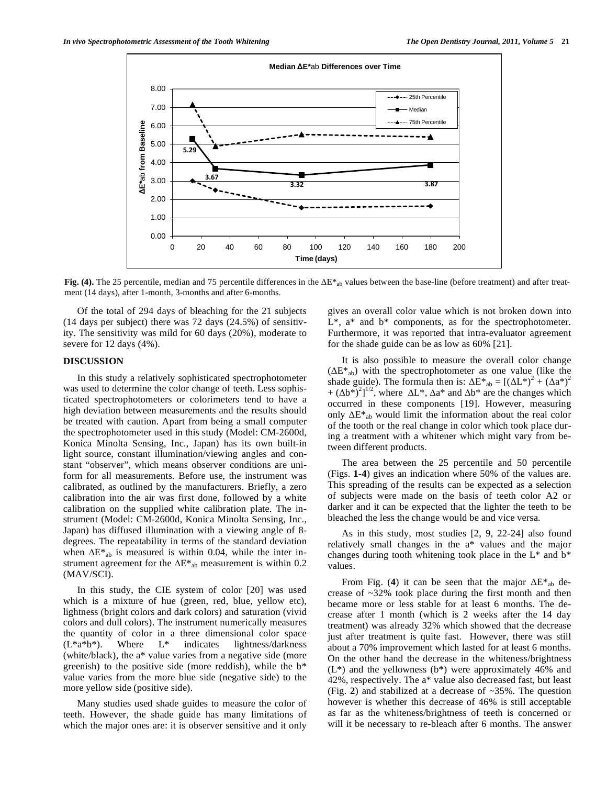

Fig. (4). The 25 percentile, median and 75 percentile differences in the  $\Delta E^*$ <sub>ab</sub> values between the base-line (before treatment) and after treatment (14 days), after 1-month, 3-months and after 6-months.

Of the total of 294 days of bleaching for the 21 subjects (14 days per subject) there was 72 days (24.5%) of sensitivity. The sensitivity was mild for 60 days (20%), moderate to severe for 12 days (4%).

## **DISCUSSION**

In this study a relatively sophisticated spectrophotometer was used to determine the color change of teeth. Less sophisticated spectrophotometers or colorimeters tend to have a high deviation between measurements and the results should be treated with caution. Apart from being a small computer the spectrophotometer used in this study (Model: CM-2600d, Konica Minolta Sensing, Inc., Japan) has its own built-in light source, constant illumination/viewing angles and constant "observer", which means observer conditions are uniform for all measurements. Before use, the instrument was calibrated, as outlined by the manufacturers. Briefly, a zero calibration into the air was first done, followed by a white calibration on the supplied white calibration plate. The instrument (Model: CM-2600d, Konica Minolta Sensing, Inc., Japan) has diffused illumination with a viewing angle of 8 degrees. The repeatability in terms of the standard deviation when  $\Delta E^*$ <sub>ab</sub> is measured is within 0.04, while the inter instrument agreement for the  $\Delta E^*$ <sub>ab</sub> measurement is within 0.2 (MAV/SCI).

In this study, the CIE system of color [20] was used which is a mixture of hue (green, red, blue, yellow etc), lightness (bright colors and dark colors) and saturation (vivid colors and dull colors). The instrument numerically measures the quantity of color in a three dimensional color space  $(L^*a^*b^*)$ . Where  $L^*$  indicates lightness/darkness (white/black), the a\* value varies from a negative side (more greenish) to the positive side (more reddish), while the b\* value varies from the more blue side (negative side) to the more yellow side (positive side).

Many studies used shade guides to measure the color of teeth. However, the shade guide has many limitations of which the major ones are: it is observer sensitive and it only gives an overall color value which is not broken down into L\*, a\* and b\* components, as for the spectrophotometer. Furthermore, it was reported that intra-evaluator agreement for the shade guide can be as low as 60% [21].

It is also possible to measure the overall color change  $(\Delta E^*_{ab})$  with the spectrophotometer as one value (like the shade guide). The formula then is:  $\Delta E^*{}_{ab} = [(\Delta L^*)^2 + (\Delta a^*)^2]$ +  $(\Delta b^*)^2$ ]<sup>1/2</sup>, where  $\Delta L^*$ ,  $\Delta a^*$  and  $\Delta b^*$  are the changes which occurred in these components [19]. However, measuring only  $\Delta E^*$ <sub>ab</sub> would limit the information about the real color of the tooth or the real change in color which took place during a treatment with a whitener which might vary from between different products.

The area between the 25 percentile and 50 percentile (Figs. **1-4**) gives an indication where 50% of the values are. This spreading of the results can be expected as a selection of subjects were made on the basis of teeth color A2 or darker and it can be expected that the lighter the teeth to be bleached the less the change would be and vice versa.

As in this study, most studies [2, 9, 22-24] also found relatively small changes in the a\* values and the major changes during tooth whitening took place in the L\* and b\* values.

From Fig. (4) it can be seen that the major  $\Delta E^*$ <sub>ab</sub> decrease of ~32% took place during the first month and then became more or less stable for at least 6 months. The decrease after 1 month (which is 2 weeks after the 14 day treatment) was already 32% which showed that the decrease just after treatment is quite fast. However, there was still about a 70% improvement which lasted for at least 6 months. On the other hand the decrease in the whiteness/brightness  $(L^*)$  and the yellowness  $(b^*)$  were approximately 46% and 42%, respectively. The a\* value also decreased fast, but least (Fig. **2**) and stabilized at a decrease of ~35%. The question however is whether this decrease of 46% is still acceptable as far as the whiteness/brightness of teeth is concerned or will it be necessary to re-bleach after 6 months. The answer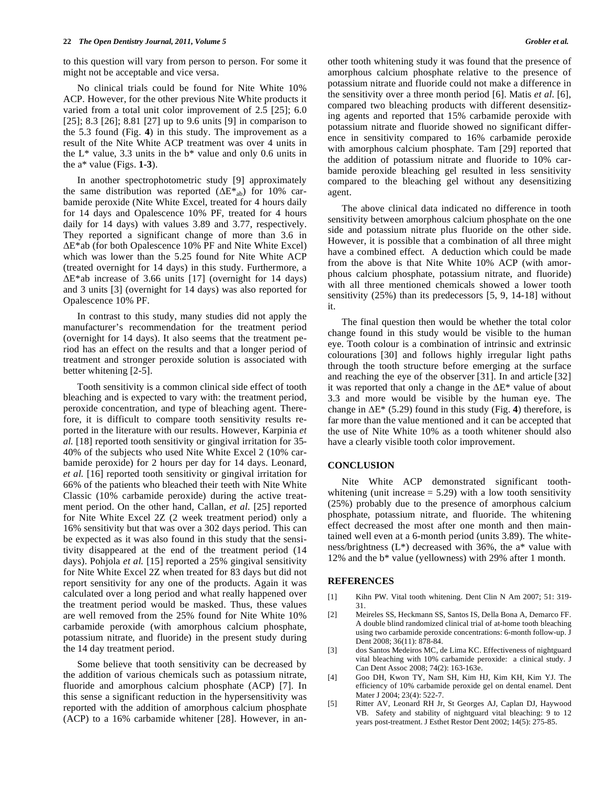to this question will vary from person to person. For some it might not be acceptable and vice versa.

No clinical trials could be found for Nite White 10% ACP. However, for the other previous Nite White products it varied from a total unit color improvement of 2.5 [25]; 6.0 [25]; 8.3 [26]; 8.81 [27] up to 9.6 units [9] in comparison to the 5.3 found (Fig. **4**) in this study. The improvement as a result of the Nite White ACP treatment was over 4 units in the  $L^*$  value, 3.3 units in the  $b^*$  value and only 0.6 units in the a\* value (Figs. **1-3**).

In another spectrophotometric study [9] approximately the same distribution was reported  $(\Delta E^*_{ab})$  for 10% carbamide peroxide (Nite White Excel, treated for 4 hours daily for 14 days and Opalescence 10% PF, treated for 4 hours daily for 14 days) with values 3.89 and 3.77, respectively. They reported a significant change of more than 3.6 in  $\Delta E^*$ ab (for both Opalescence 10% PF and Nite White Excel) which was lower than the 5.25 found for Nite White ACP (treated overnight for 14 days) in this study. Furthermore, a  $\Delta E^*$ ab increase of 3.66 units [17] (overnight for 14 days) and 3 units [3] (overnight for 14 days) was also reported for Opalescence 10% PF.

In contrast to this study, many studies did not apply the manufacturer's recommendation for the treatment period (overnight for 14 days). It also seems that the treatment period has an effect on the results and that a longer period of treatment and stronger peroxide solution is associated with better whitening [2-5].

Tooth sensitivity is a common clinical side effect of tooth bleaching and is expected to vary with: the treatment period, peroxide concentration, and type of bleaching agent. Therefore, it is difficult to compare tooth sensitivity results reported in the literature with our results. However, Karpinia *et al.* [18] reported tooth sensitivity or gingival irritation for 35- 40% of the subjects who used Nite White Excel 2 (10% carbamide peroxide) for 2 hours per day for 14 days. Leonard, *et al.* [16] reported tooth sensitivity or gingival irritation for 66% of the patients who bleached their teeth with Nite White Classic (10% carbamide peroxide) during the active treatment period. On the other hand, Callan, *et al.* [25] reported for Nite White Excel 2Z (2 week treatment period) only a 16% sensitivity but that was over a 302 days period. This can be expected as it was also found in this study that the sensitivity disappeared at the end of the treatment period (14 days). Pohjola *et al.* [15] reported a 25% gingival sensitivity for Nite White Excel 2Z when treated for 83 days but did not report sensitivity for any one of the products. Again it was calculated over a long period and what really happened over the treatment period would be masked. Thus, these values are well removed from the 25% found for Nite White 10% carbamide peroxide (with amorphous calcium phosphate, potassium nitrate, and fluoride) in the present study during the 14 day treatment period.

Some believe that tooth sensitivity can be decreased by the addition of various chemicals such as potassium nitrate, fluoride and amorphous calcium phosphate (ACP) [7]. In this sense a significant reduction in the hypersensitivity was reported with the addition of amorphous calcium phosphate (ACP) to a 16% carbamide whitener [28]. However, in anamorphous calcium phosphate relative to the presence of potassium nitrate and fluoride could not make a difference in the sensitivity over a three month period [6]. Matis *et al*. [6], compared two bleaching products with different desensitizing agents and reported that 15% carbamide peroxide with potassium nitrate and fluoride showed no significant difference in sensitivity compared to 16% carbamide peroxide with amorphous calcium phosphate. Tam [29] reported that the addition of potassium nitrate and fluoride to 10% carbamide peroxide bleaching gel resulted in less sensitivity compared to the bleaching gel without any desensitizing agent.

The above clinical data indicated no difference in tooth sensitivity between amorphous calcium phosphate on the one side and potassium nitrate plus fluoride on the other side. However, it is possible that a combination of all three might have a combined effect. A deduction which could be made from the above is that Nite White 10% ACP (with amorphous calcium phosphate, potassium nitrate, and fluoride) with all three mentioned chemicals showed a lower tooth sensitivity (25%) than its predecessors [5, 9, 14-18] without it.

The final question then would be whether the total color change found in this study would be visible to the human eye. Tooth colour is a combination of intrinsic and extrinsic colourations [30] and follows highly irregular light paths through the tooth structure before emerging at the surface and reaching the eye of the observer [31]. In and article [32] it was reported that only a change in the  $\Delta E^*$  value of about 3.3 and more would be visible by the human eye. The change in  $\Delta E^*$  (5.29) found in this study (Fig. 4) therefore, is far more than the value mentioned and it can be accepted that the use of Nite White 10% as a tooth whitener should also have a clearly visible tooth color improvement.

#### **CONCLUSION**

Nite White ACP demonstrated significant toothwhitening (unit increase  $= 5.29$ ) with a low tooth sensitivity (25%) probably due to the presence of amorphous calcium phosphate, potassium nitrate, and fluoride. The whitening effect decreased the most after one month and then maintained well even at a 6-month period (units 3.89). The whiteness/brightness  $(L^*)$  decreased with 36%, the a\* value with 12% and the b\* value (yellowness) with 29% after 1 month.

### **REFERENCES**

- [1] Kihn PW. Vital tooth whitening. Dent Clin N Am 2007; 51: 319-31.
- [2] Meireles SS, Heckmann SS, Santos IS, Della Bona A, Demarco FF. A double blind randomized clinical trial of at-home tooth bleaching using two carbamide peroxide concentrations: 6-month follow-up. J Dent 2008; 36(11): 878-84.
- [3] dos Santos Medeiros MC, de Lima KC. Effectiveness of nightguard vital bleaching with 10% carbamide peroxide: a clinical study. J Can Dent Assoc 2008; 74(2): 163-163e.
- [4] Goo DH, Kwon TY, Nam SH, Kim HJ, Kim KH, Kim YJ. The efficiency of 10% carbamide peroxide gel on dental enamel. Dent Mater J 2004; 23(4): 522-7.
- [5] Ritter AV, Leonard RH Jr, St Georges AJ, Caplan DJ, Haywood VB. Safety and stability of nightguard vital bleaching: 9 to 12 years post-treatment. J Esthet Restor Dent 2002; 14(5): 275-85.